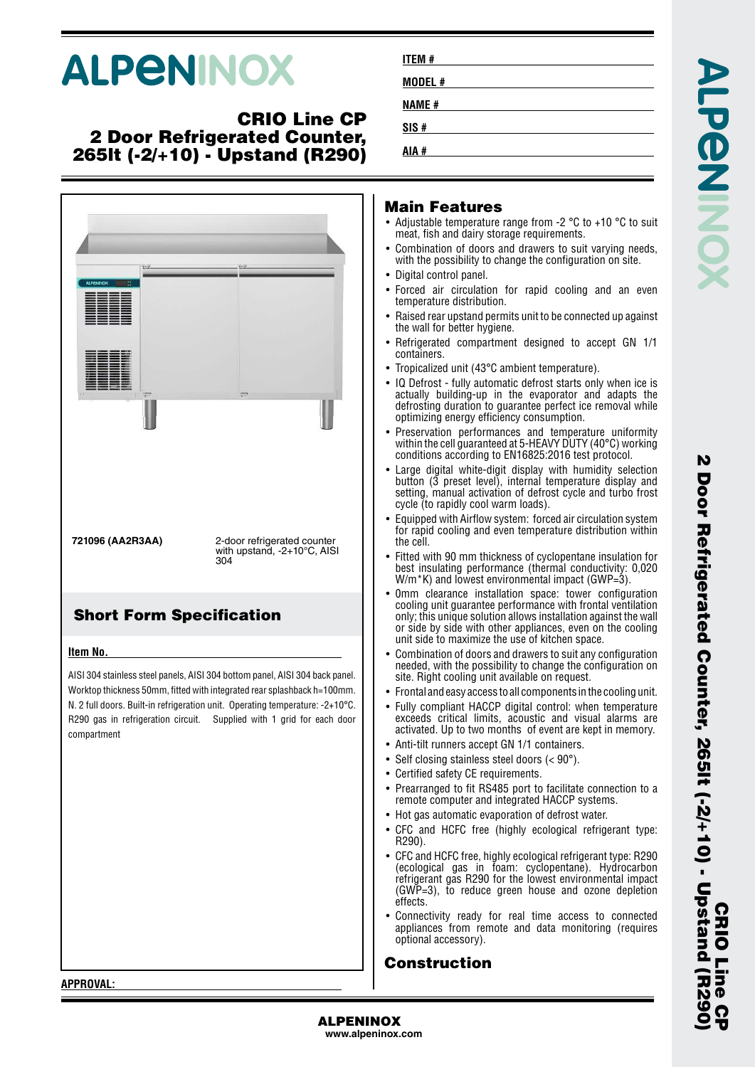# **ALPENINOX**

### **CRIO Line CP 2 Door Refrigerated Counter, 265lt (-2/+10) - Upstand (R290)**



| ITEM #  |  |  |  |
|---------|--|--|--|
| MODEL # |  |  |  |
| NAME #  |  |  |  |
| SIS#    |  |  |  |
| # AIA   |  |  |  |
|         |  |  |  |

#### **Main Features**

**AIA #**

- Adjustable temperature range from -2 °C to +10 °C to suit meat, fish and dairy storage requirements.
- • Combination of doors and drawers to suit varying needs, with the possibility to change the configuration on site.
- Digital control panel.
- • Forced air circulation for rapid cooling and an even temperature distribution.
- • Raised rear upstand permits unit to be connected up against the wall for better hygiene.
- Refrigerated compartment designed to accept GN 1/1 containers.
- •Tropicalized unit (43°C ambient temperature).
- • IQ Defrost - fully automatic defrost starts only when ice is actually building-up in the evaporator and adapts the defrosting duration to guarantee perfect ice removal while optimizing energy efficiency consumption.
- Preservation performances and temperature uniformity within the cell guaranteed at 5-HEAVY DUTY (40°C) working conditions according to EN16825:2016 test protocol.
- • Large digital white-digit display with humidity selection button (3 preset level), internal temperature display and setting, manual activation of defrost cycle and turbo frost cycle (to rapidly cool warm loads).
- • Equipped with Airflow system: forced air circulation system for rapid cooling and even temperature distribution within the cell.
- • Fitted with 90 mm thickness of cyclopentane insulation for best insulating performance (thermal conductivity: 0,020  $W/m$ <sup>\*</sup>K) and lowest environmental impact (GWP=3).
- • 0mm clearance installation space: tower configuration cooling unit guarantee performance with frontal ventilation only; this unique solution allows installation against the wall or side by side with other appliances, even on the cooling unit side to maximize the use of kitchen space.
- • Combination of doors and drawers to suit any configuration needed, with the possibility to change the configuration on site. Right cooling unit available on request.
- Frontal and easy access to all components in the cooling unit.
- Fully compliant HACCP digital control: when temperature exceeds critical limits, acoustic and visual alarms are activated. Up to two months of event are kept in memory.
- Anti-tilt runners accept GN 1/1 containers.
- Self closing stainless steel doors (< 90°).
- Certified safety CE requirements.
- • Prearranged to fit RS485 port to facilitate connection to a remote computer and integrated HACCP systems.
- Hot gas automatic evaporation of defrost water.
- CFC and HCFC free (highly ecological refrigerant type: R290).
- • CFC and HCFC free, highly ecological refrigerant type: R290 (ecological gas in foam: cyclopentane). Hydrocarbon refrigerant gas R290 for the lowest environmental impact (GWP=3), to reduce green house and ozone depletion effects.
- • Connectivity ready for real time access to connected appliances from remote and data monitoring (requires optional accessory).

### **Construction**

**APPROVAL:**

**ALPENINOX**

**www.alpeninox.com**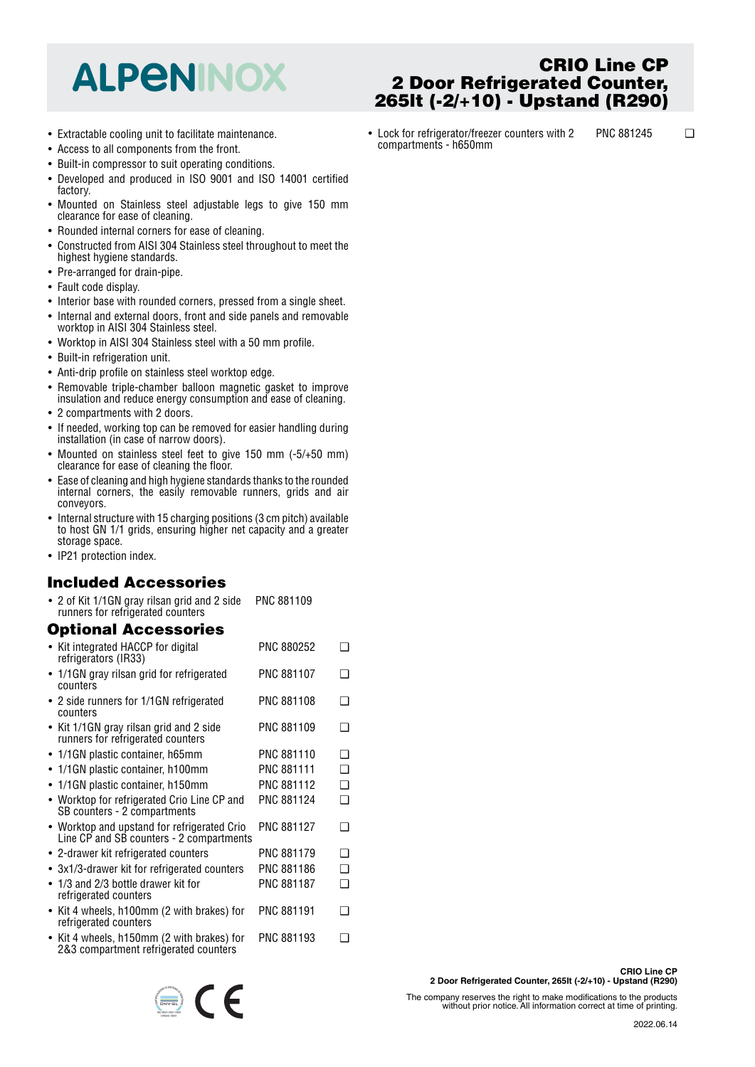# **ALPENINOX**

- Extractable cooling unit to facilitate maintenance.
- Access to all components from the front.
- Built-in compressor to suit operating conditions.
- Developed and produced in ISO 9001 and ISO 14001 certified factory.
- Mounted on Stainless steel adjustable legs to give 150 mm clearance for ease of cleaning.
- Rounded internal corners for ease of cleaning.
- • Constructed from AISI 304 Stainless steel throughout to meet the highest hygiene standards.
- Pre-arranged for drain-pipe.
- Fault code display.
- Interior base with rounded corners, pressed from a single sheet.
- Internal and external doors, front and side panels and removable worktop in AISI 304 Stainless steel.
- Worktop in AISI 304 Stainless steel with a 50 mm profile.
- Built-in refrigeration unit.
- Anti-drip profile on stainless steel worktop edge.
- • Removable triple-chamber balloon magnetic gasket to improve insulation and reduce energy consumption and ease of cleaning.
- 2 compartments with 2 doors.
- If needed, working top can be removed for easier handling during installation (in case of narrow doors).
- Mounted on stainless steel feet to give 150 mm (-5/+50 mm) clearance for ease of cleaning the floor.
- Ease of cleaning and high hygiene standards thanks to the rounded internal corners, the easily removable runners, grids and air conveyors.
- Internal structure with 15 charging positions (3 cm pitch) available to host GN 1/1 grids, ensuring higher net capacity and a greater storage space.
- IP21 protection index.

#### **Included Accessories**

• 2 of Kit 1/1GN gray rilsan grid and 2 side runners for refrigerated counters PNC 881109

### **Optional Accessories**

| • Kit integrated HACCP for digital<br>refrigerators (IR33)                              | PNC 880252        | ר      |
|-----------------------------------------------------------------------------------------|-------------------|--------|
| • 1/1GN gray rilsan grid for refrigerated<br>counters                                   | <b>PNC 881107</b> | ∩      |
| • 2 side runners for 1/1GN refrigerated<br>counters                                     | <b>PNC 881108</b> | ר      |
| • Kit 1/1GN gray rilsan grid and 2 side<br>runners for refrigerated counters            | PNC 881109        | ∩      |
| • 1/1GN plastic container, h65mm                                                        | <b>PNC 881110</b> | ∩      |
| • 1/1GN plastic container, h100mm                                                       | <b>PNC 881111</b> | ∩      |
| 1/1GN plastic container, h150mm                                                         | PNC 881112        | ◻      |
| • Worktop for refrigerated Crio Line CP and<br>SB counters - 2 compartments             | PNC 881124        | $\Box$ |
| • Worktop and upstand for refrigerated Crio<br>Line CP and SB counters - 2 compartments | <b>PNC 881127</b> | ∩      |
| • 2-drawer kit refrigerated counters                                                    | <b>PNC 881179</b> | ∩      |
| • 3x1/3-drawer kit for refrigerated counters                                            | PNC 881186        | ∩      |
| • 1/3 and 2/3 bottle drawer kit for<br>refrigerated counters                            | <b>PNC 881187</b> | ∩      |
| • Kit 4 wheels, h100mm (2 with brakes) for<br>refrigerated counters                     | PNC 881191        | ∍      |
| • Kit 4 wheels, h150mm (2 with brakes) for<br>2&3 compartment refrigerated counters     | PNC 881193        | - 1    |

 $\epsilon$ 

The company reserves the right to make modifications to the products without prior notice. All information correct at time of printing.

- **CRIO Line CP 2 Door Refrigerated Counter, 265lt (-2/+10) - Upstand (R290)**
- Lock for refrigerator/freezer counters with 2 compartments - h650mm PNC 881245 ❑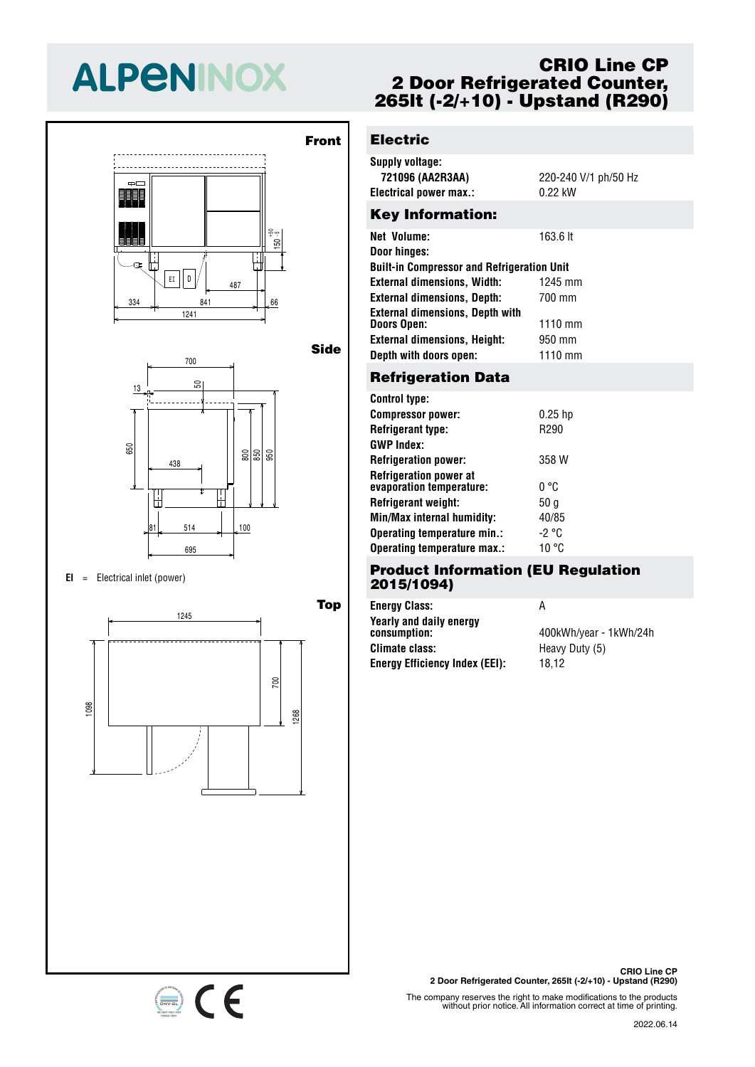# **ALPENINOX**





 $EI =$  Electrical inlet (power)

334 841 66



# **CRIO Line CP 2 Door Refrigerated Counter, 265lt (-2/+10) - Upstand (R290)**

# 50 **Electric**

 $\overline{1}$ 

<u>155</u>

- 1

 $\overline{1}$ 

13

13

l -

| <b>Supply voltage:</b><br>721096 (AA2R3AA)<br>Electrical power max.: | 220-240 V/1 ph/50 Hz<br>$0.22 \text{ kW}$ |
|----------------------------------------------------------------------|-------------------------------------------|
| <b>Key Information:</b>                                              |                                           |
| <b>Net Volume:</b><br>Door hinges:                                   | 163.6 lt                                  |

| <b>Built-in Compressor and Refrigeration Unit</b>            |           |  |
|--------------------------------------------------------------|-----------|--|
| <b>External dimensions, Width:</b>                           | 1245 mm   |  |
| <b>External dimensions, Depth:</b>                           | 700 mm    |  |
| <b>External dimensions, Depth with</b><br><b>Doors Open:</b> | $1110$ mm |  |
| <b>External dimensions, Height:</b>                          | 950 mm    |  |
| Depth with doors open:                                       | 1110 mm   |  |

## 700 **Refrigeration Data**

| <b>Control type:</b>                                      |                 |
|-----------------------------------------------------------|-----------------|
| <b>Compressor power:</b>                                  | $0.25$ hp       |
| <b>Refrigerant type:</b>                                  | R290            |
| <b>GWP Index:</b>                                         |                 |
| <b>Refrigeration power:</b>                               | 358 W           |
| <b>Refrigeration power at</b><br>evaporation temperature: | n °C            |
| Refrigerant weight:                                       | 50 <sub>g</sub> |
| Min/Max internal humidity:                                | 40/85           |
| Operating temperature min.:                               | -2 °C           |
| Operating temperature max.:                               | 10 °C           |

#### 695 **Product Information (EU Regulation 2015/1094)**

| А                      |
|------------------------|
| 400kWh/year - 1kWh/24h |
| Heavy Duty (5)         |
| 18.12                  |
|                        |

**CRIO Line CP 2 Door Refrigerated Counter, 265lt (-2/+10) - Upstand (R290)**

The company reserves the right to make modifications to the products without prior notice. All information correct at time of printing.

#### 2022.06.14